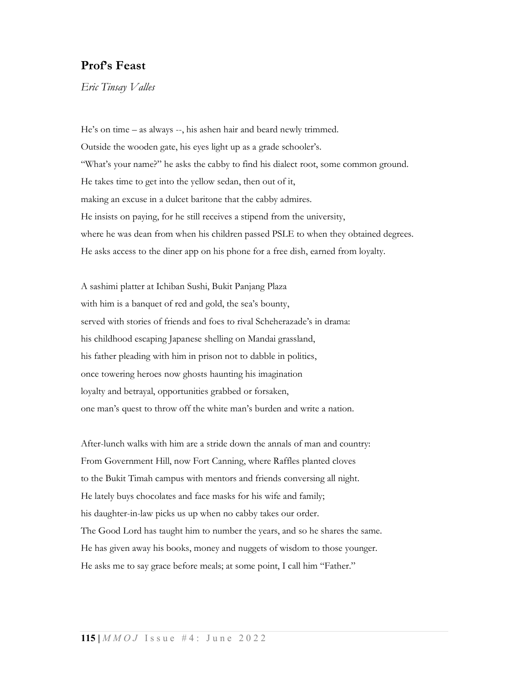## Prof's Feast

Eric Tinsay Valles

He's on time – as always --, his ashen hair and beard newly trimmed. Outside the wooden gate, his eyes light up as a grade schooler's. "What's your name?" he asks the cabby to find his dialect root, some common ground. He takes time to get into the yellow sedan, then out of it, making an excuse in a dulcet baritone that the cabby admires. He insists on paying, for he still receives a stipend from the university, where he was dean from when his children passed PSLE to when they obtained degrees. He asks access to the diner app on his phone for a free dish, earned from loyalty.

A sashimi platter at Ichiban Sushi, Bukit Panjang Plaza with him is a banquet of red and gold, the sea's bounty, served with stories of friends and foes to rival Scheherazade's in drama: his childhood escaping Japanese shelling on Mandai grassland, his father pleading with him in prison not to dabble in politics, once towering heroes now ghosts haunting his imagination loyalty and betrayal, opportunities grabbed or forsaken, one man's quest to throw off the white man's burden and write a nation.

After-lunch walks with him are a stride down the annals of man and country: From Government Hill, now Fort Canning, where Raffles planted cloves to the Bukit Timah campus with mentors and friends conversing all night. He lately buys chocolates and face masks for his wife and family; his daughter-in-law picks us up when no cabby takes our order. The Good Lord has taught him to number the years, and so he shares the same. He has given away his books, money and nuggets of wisdom to those younger. He asks me to say grace before meals; at some point, I call him "Father."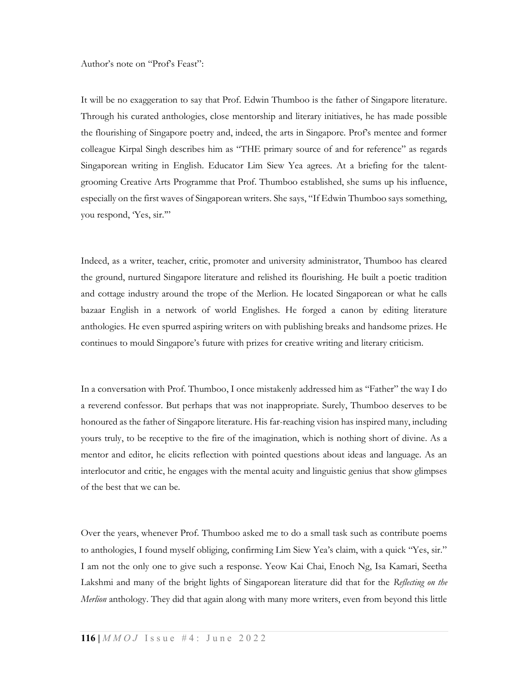Author's note on "Prof's Feast":

It will be no exaggeration to say that Prof. Edwin Thumboo is the father of Singapore literature. Through his curated anthologies, close mentorship and literary initiatives, he has made possible the flourishing of Singapore poetry and, indeed, the arts in Singapore. Prof's mentee and former colleague Kirpal Singh describes him as "THE primary source of and for reference" as regards Singaporean writing in English. Educator Lim Siew Yea agrees. At a briefing for the talentgrooming Creative Arts Programme that Prof. Thumboo established, she sums up his influence, especially on the first waves of Singaporean writers. She says, "If Edwin Thumboo says something, you respond, Yes, sir."

Indeed, as a writer, teacher, critic, promoter and university administrator, Thumboo has cleared the ground, nurtured Singapore literature and relished its flourishing. He built a poetic tradition and cottage industry around the trope of the Merlion. He located Singaporean or what he calls bazaar English in a network of world Englishes. He forged a canon by editing literature anthologies. He even spurred aspiring writers on with publishing breaks and handsome prizes. He continues to mould Singapore's future with prizes for creative writing and literary criticism.

In a conversation with Prof. Thumboo, I once mistakenly addressed him as "Father" the way I do a reverend confessor. But perhaps that was not inappropriate. Surely, Thumboo deserves to be honoured as the father of Singapore literature. His far-reaching vision has inspired many, including yours truly, to be receptive to the fire of the imagination, which is nothing short of divine. As a mentor and editor, he elicits reflection with pointed questions about ideas and language. As an interlocutor and critic, he engages with the mental acuity and linguistic genius that show glimpses of the best that we can be.

Over the years, whenever Prof. Thumboo asked me to do a small task such as contribute poems to anthologies, I found myself obliging, confirming Lim Siew Yea's claim, with a quick "Yes, sir." I am not the only one to give such a response. Yeow Kai Chai, Enoch Ng, Isa Kamari, Seetha Lakshmi and many of the bright lights of Singaporean literature did that for the Reflecting on the Merlion anthology. They did that again along with many more writers, even from beyond this little